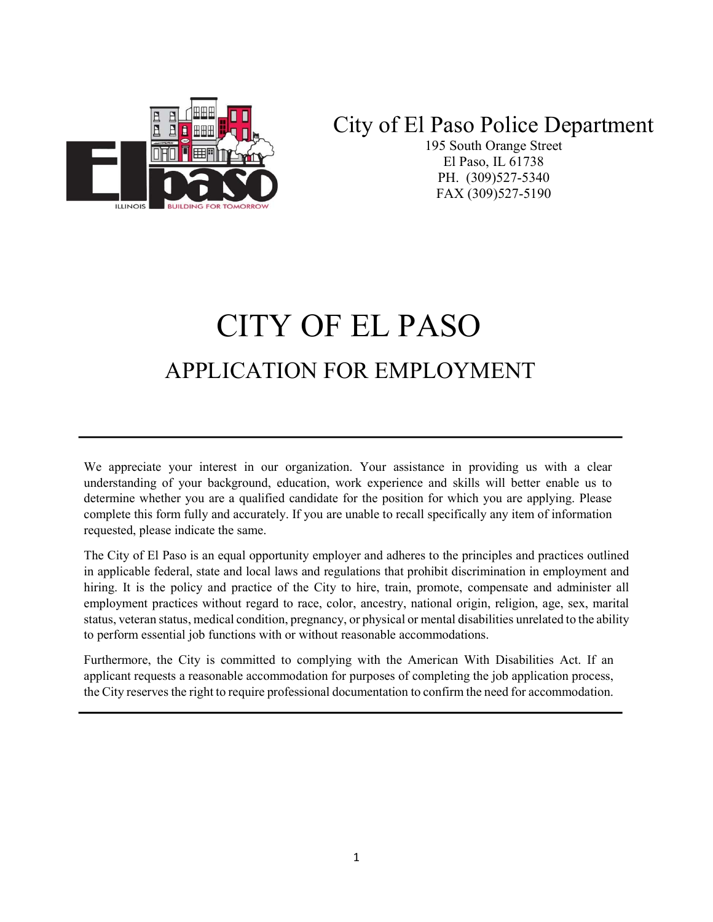# City of El Paso Police Department



195 South Orange Street El Paso, IL 61738 PH. (309)527-5340 FAX (309)527-5190

# CITY OF EL PASO APPLICATION FOR EMPLOYMENT

We appreciate your interest in our organization. Your assistance in providing us with a clear understanding of your background, education, work experience and skills will better enable us to determine whether you are a qualified candidate for the position for which you are applying. Please complete this form fully and accurately. If you are unable to recall specifically any item of information requested, please indicate the same.

The City of El Paso is an equal opportunity employer and adheres to the principles and practices outlined in applicable federal, state and local laws and regulations that prohibit discrimination in employment and hiring. It is the policy and practice of the City to hire, train, promote, compensate and administer all employment practices without regard to race, color, ancestry, national origin, religion, age, sex, marital status, veteran status, medical condition, pregnancy, or physical or mental disabilities unrelated to the ability to perform essential job functions with or without reasonable accommodations.

Furthermore, the City is committed to complying with the American With Disabilities Act. If an applicant requests a reasonable accommodation for purposes of completing the job application process, the City reserves the right to require professional documentation to confirm the need for accommodation.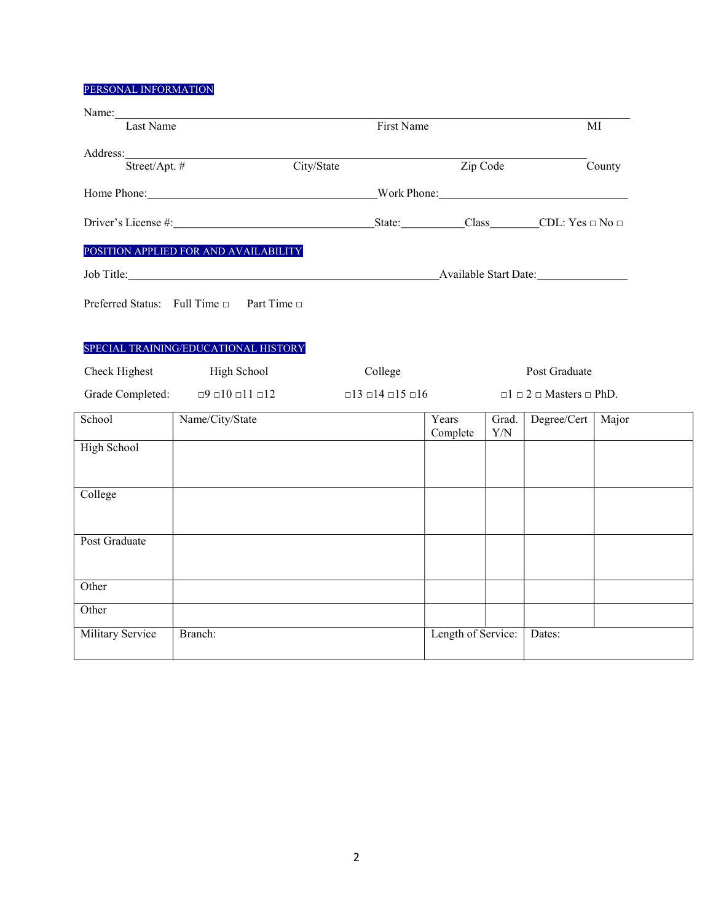# PERSONAL INFORMATION

|                                                                                                                                                                                                                                | Name: Name and the set of the set of the set of the set of the set of the set of the set of the set of the set of the set of the set of the set of the set of the set of the set of the set of the set of the set of the set o | First Name                              |                                          |                     |        |
|--------------------------------------------------------------------------------------------------------------------------------------------------------------------------------------------------------------------------------|--------------------------------------------------------------------------------------------------------------------------------------------------------------------------------------------------------------------------------|-----------------------------------------|------------------------------------------|---------------------|--------|
| Last Name                                                                                                                                                                                                                      |                                                                                                                                                                                                                                |                                         |                                          | MI                  |        |
|                                                                                                                                                                                                                                |                                                                                                                                                                                                                                |                                         |                                          |                     |        |
| Address: Street/Apt. #                                                                                                                                                                                                         |                                                                                                                                                                                                                                | City/State                              | Zip Code                                 |                     | County |
| Home Phone: North Phone: North Phone: North Phone: North Phone: North Phone: North Phone: North Phone: North Phone: North Phone: North Phone: North Phone: North Phone: North Phone: North Phone: North Phone: North Phone: No |                                                                                                                                                                                                                                |                                         |                                          |                     |        |
|                                                                                                                                                                                                                                |                                                                                                                                                                                                                                |                                         |                                          |                     |        |
|                                                                                                                                                                                                                                | POSITION APPLIED FOR AND AVAILABILITY                                                                                                                                                                                          |                                         |                                          |                     |        |
|                                                                                                                                                                                                                                |                                                                                                                                                                                                                                |                                         |                                          |                     |        |
|                                                                                                                                                                                                                                | Preferred Status: Full Time □ Part Time □                                                                                                                                                                                      |                                         |                                          |                     |        |
|                                                                                                                                                                                                                                |                                                                                                                                                                                                                                |                                         |                                          |                     |        |
|                                                                                                                                                                                                                                | SPECIAL TRAINING/EDUCATIONAL HISTORY                                                                                                                                                                                           |                                         |                                          |                     |        |
| Check Highest                                                                                                                                                                                                                  | High School                                                                                                                                                                                                                    | College                                 |                                          | Post Graduate       |        |
|                                                                                                                                                                                                                                | Grade Completed: $\Box 9 \Box 10 \Box 11 \Box 12$                                                                                                                                                                              | $\Box$ 13 $\Box$ 14 $\Box$ 15 $\Box$ 16 | $\Box 1 \Box 2 \Box$ Masters $\Box$ PhD. |                     |        |
| School                                                                                                                                                                                                                         | Name/City/State                                                                                                                                                                                                                | Years<br>Complete                       | Grad.<br>${\rm Y/N}$                     | Degree/Cert   Major |        |
| High School                                                                                                                                                                                                                    |                                                                                                                                                                                                                                |                                         |                                          |                     |        |
|                                                                                                                                                                                                                                |                                                                                                                                                                                                                                |                                         |                                          |                     |        |
| College                                                                                                                                                                                                                        |                                                                                                                                                                                                                                |                                         |                                          |                     |        |
|                                                                                                                                                                                                                                |                                                                                                                                                                                                                                |                                         |                                          |                     |        |
| Post Graduate                                                                                                                                                                                                                  |                                                                                                                                                                                                                                |                                         |                                          |                     |        |
|                                                                                                                                                                                                                                |                                                                                                                                                                                                                                |                                         |                                          |                     |        |
|                                                                                                                                                                                                                                |                                                                                                                                                                                                                                |                                         |                                          |                     |        |
| Other                                                                                                                                                                                                                          |                                                                                                                                                                                                                                |                                         |                                          |                     |        |
| Other                                                                                                                                                                                                                          |                                                                                                                                                                                                                                |                                         |                                          |                     |        |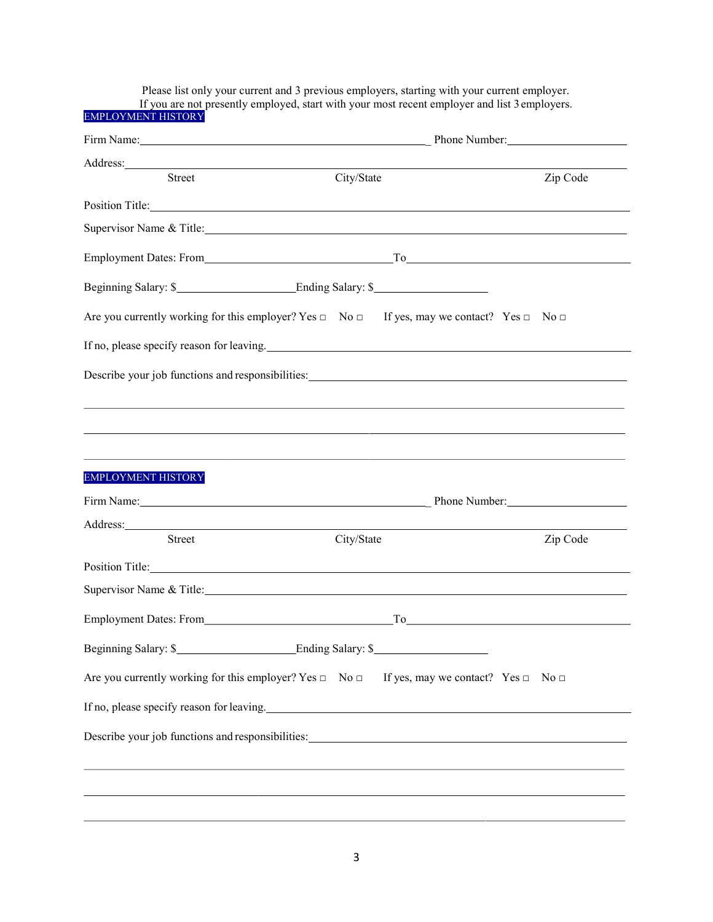Please list only your current and 3 previous employers, starting with your current employer. If you are not presently employed, start with your most recent employer and list 3 employers. EMPLOYMENT HISTORY Firm Name: \_ Phone Number: Address: Street City/State City/State Zip Code Position Title: Supervisor Name & Title: Supervisor Name & Title: Employment Dates: From To Beginning Salary: \$ Are you currently working for this employer? Yes  $\Box$  No  $\Box$  If yes, may we contact? Yes  $\Box$  No  $\Box$ If no, please specify reason for leaving. The subset of the set of the set of the set of the set of the set of the set of the set of the set of the set of the set of the set of the set of the set of the set of the set of t Describe your job functions and responsibilities: EMPLOYMENT HISTORY Firm Name: **Example 2018** Phone Number: Address: Street City/State Zip Code Position Title: Note that the set of the set of the set of the set of the set of the set of the set of the set of the set of the set of the set of the set of the set of the set of the set of the set of the set of the set o Supervisor Name & Title: Employment Dates: From To Beginning Salary: \$ Ending Salary: \$ Are you currently working for this employer? Yes  $\Box$  No  $\Box$  If yes, may we contact? Yes  $\Box$  No  $\Box$ If no, please specify reason for leaving. Describe your job functions and responsibilities: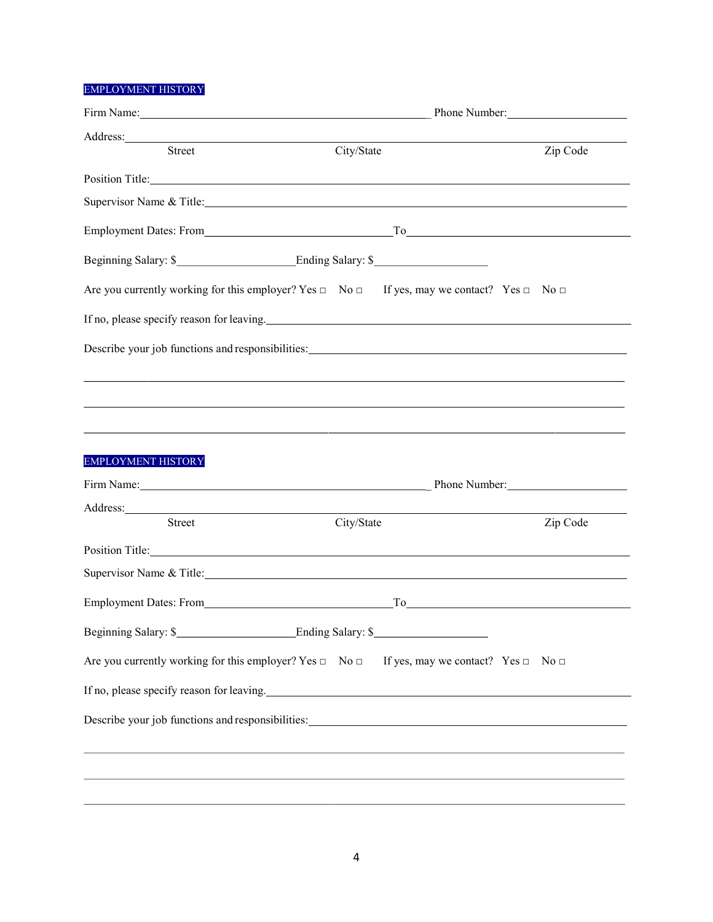# EMPLOYMENT HISTORY

|                                                                                                                                                                                                                                | Firm Name: Phone Number:                                                                                                                                                                                                      |                                                                                                                                                                                                                                                                                                                                       |  |  |  |
|--------------------------------------------------------------------------------------------------------------------------------------------------------------------------------------------------------------------------------|-------------------------------------------------------------------------------------------------------------------------------------------------------------------------------------------------------------------------------|---------------------------------------------------------------------------------------------------------------------------------------------------------------------------------------------------------------------------------------------------------------------------------------------------------------------------------------|--|--|--|
| Address: 2008 and 2008 and 2008 and 2008 and 2008 and 2008 and 2008 and 2008 and 2008 and 2008 and 2008 and 2008 and 2008 and 2008 and 2008 and 2008 and 2008 and 2008 and 2008 and 2008 and 2008 and 2008 and 2008 and 2008 a |                                                                                                                                                                                                                               |                                                                                                                                                                                                                                                                                                                                       |  |  |  |
| Street                                                                                                                                                                                                                         | City/State                                                                                                                                                                                                                    | Zip Code                                                                                                                                                                                                                                                                                                                              |  |  |  |
|                                                                                                                                                                                                                                | Position Title: Note that the contract of the contract of the contract of the contract of the contract of the contract of the contract of the contract of the contract of the contract of the contract of the contract of the |                                                                                                                                                                                                                                                                                                                                       |  |  |  |
|                                                                                                                                                                                                                                | Supervisor Name & Title: Supervisor Name & Title:                                                                                                                                                                             |                                                                                                                                                                                                                                                                                                                                       |  |  |  |
|                                                                                                                                                                                                                                |                                                                                                                                                                                                                               |                                                                                                                                                                                                                                                                                                                                       |  |  |  |
|                                                                                                                                                                                                                                | Beginning Salary: \$                                                                                                                                                                                                          |                                                                                                                                                                                                                                                                                                                                       |  |  |  |
|                                                                                                                                                                                                                                | Are you currently working for this employer? Yes $\Box$ No $\Box$ If yes, may we contact? Yes $\Box$ No $\Box$                                                                                                                |                                                                                                                                                                                                                                                                                                                                       |  |  |  |
|                                                                                                                                                                                                                                | If no, please specify reason for leaving.                                                                                                                                                                                     |                                                                                                                                                                                                                                                                                                                                       |  |  |  |
|                                                                                                                                                                                                                                | Describe your job functions and responsibilities:                                                                                                                                                                             |                                                                                                                                                                                                                                                                                                                                       |  |  |  |
|                                                                                                                                                                                                                                |                                                                                                                                                                                                                               |                                                                                                                                                                                                                                                                                                                                       |  |  |  |
|                                                                                                                                                                                                                                |                                                                                                                                                                                                                               |                                                                                                                                                                                                                                                                                                                                       |  |  |  |
|                                                                                                                                                                                                                                |                                                                                                                                                                                                                               |                                                                                                                                                                                                                                                                                                                                       |  |  |  |
|                                                                                                                                                                                                                                |                                                                                                                                                                                                                               |                                                                                                                                                                                                                                                                                                                                       |  |  |  |
| <b>EMPLOYMENT HISTORY</b>                                                                                                                                                                                                      |                                                                                                                                                                                                                               |                                                                                                                                                                                                                                                                                                                                       |  |  |  |
|                                                                                                                                                                                                                                |                                                                                                                                                                                                                               |                                                                                                                                                                                                                                                                                                                                       |  |  |  |
|                                                                                                                                                                                                                                |                                                                                                                                                                                                                               |                                                                                                                                                                                                                                                                                                                                       |  |  |  |
| <b>Street</b>                                                                                                                                                                                                                  | City/State                                                                                                                                                                                                                    | Zip Code                                                                                                                                                                                                                                                                                                                              |  |  |  |
|                                                                                                                                                                                                                                | Position Title: Note that the contract of the contract of the contract of the contract of the contract of the contract of the contract of the contract of the contract of the contract of the contract of the contract of the |                                                                                                                                                                                                                                                                                                                                       |  |  |  |
|                                                                                                                                                                                                                                | Supervisor Name & Title: Management of the Supervisor Name & Title:                                                                                                                                                           |                                                                                                                                                                                                                                                                                                                                       |  |  |  |
| Employment Dates: From                                                                                                                                                                                                         |                                                                                                                                                                                                                               | $To$ and $\overline{a}$ and $\overline{a}$ and $\overline{a}$ and $\overline{a}$ and $\overline{a}$ and $\overline{a}$ and $\overline{a}$ and $\overline{a}$ and $\overline{a}$ and $\overline{a}$ and $\overline{a}$ and $\overline{a}$ and $\overline{a}$ and $\overline{a}$ and $\overline{a}$ and $\overline{a}$ and $\overline{$ |  |  |  |
|                                                                                                                                                                                                                                | Beginning Salary: \$                                                                                                                                                                                                          |                                                                                                                                                                                                                                                                                                                                       |  |  |  |
|                                                                                                                                                                                                                                | Are you currently working for this employer? Yes $\Box$ No $\Box$ If yes, may we contact? Yes $\Box$ No $\Box$                                                                                                                |                                                                                                                                                                                                                                                                                                                                       |  |  |  |
|                                                                                                                                                                                                                                | If no, please specify reason for leaving.                                                                                                                                                                                     |                                                                                                                                                                                                                                                                                                                                       |  |  |  |
|                                                                                                                                                                                                                                |                                                                                                                                                                                                                               |                                                                                                                                                                                                                                                                                                                                       |  |  |  |
|                                                                                                                                                                                                                                |                                                                                                                                                                                                                               |                                                                                                                                                                                                                                                                                                                                       |  |  |  |
|                                                                                                                                                                                                                                |                                                                                                                                                                                                                               |                                                                                                                                                                                                                                                                                                                                       |  |  |  |
|                                                                                                                                                                                                                                |                                                                                                                                                                                                                               |                                                                                                                                                                                                                                                                                                                                       |  |  |  |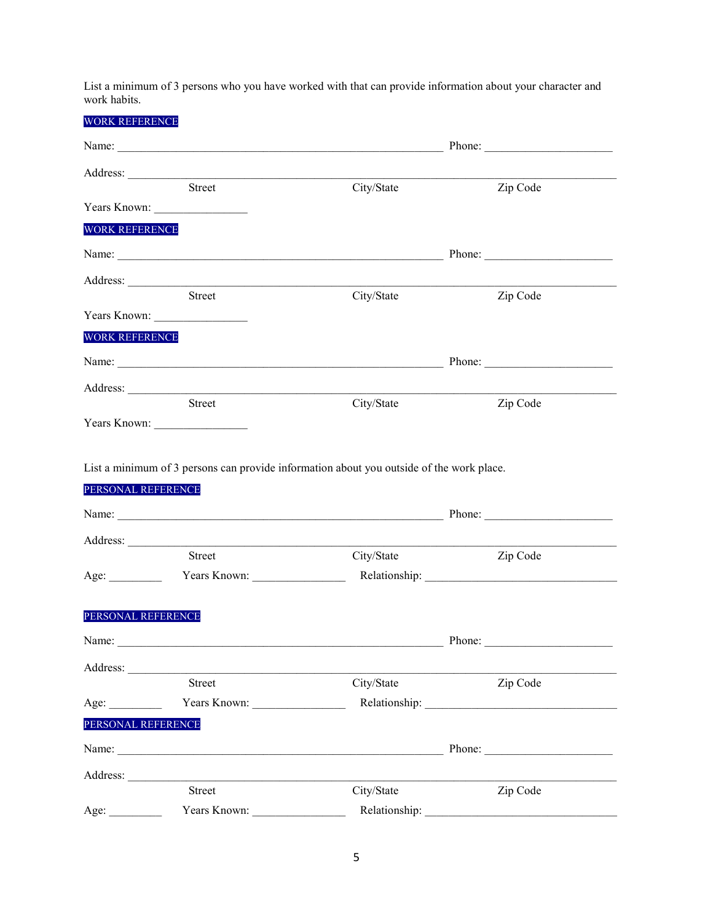List a minimum of 3 persons who you have worked with that can provide information about your character and work habits.

| <b>WORK REFERENCE</b> |                                     |                        |          |  |
|-----------------------|-------------------------------------|------------------------|----------|--|
|                       |                                     |                        |          |  |
|                       |                                     |                        |          |  |
|                       | Street                              | City/State             | Zip Code |  |
|                       |                                     |                        |          |  |
| <b>WORK REFERENCE</b> |                                     |                        |          |  |
|                       |                                     |                        |          |  |
|                       |                                     |                        |          |  |
|                       | <b>Street</b>                       | City/State             | Zip Code |  |
|                       |                                     |                        |          |  |
| <b>WORK REFERENCE</b> |                                     |                        |          |  |
|                       |                                     | Phone: $\qquad \qquad$ |          |  |
|                       | Address: <u>North Communication</u> |                        |          |  |
|                       | Street                              | City/State             | Zip Code |  |
|                       |                                     |                        |          |  |
| PERSONAL REFERENCE    |                                     |                        |          |  |
|                       |                                     |                        |          |  |
|                       | <b>Street</b>                       | City/State             | Zip Code |  |
| Age:                  | Years Known:                        |                        |          |  |
| PERSONAL REFERENCE    |                                     |                        |          |  |
|                       | Name:                               |                        |          |  |
| Address:              |                                     |                        |          |  |
|                       | Street                              | City/State             | Zip Code |  |
| Age:                  | Years Known:                        |                        |          |  |
| PERSONAL REFERENCE    |                                     |                        |          |  |
|                       |                                     |                        |          |  |
|                       |                                     |                        |          |  |
|                       | Street                              | City/State             | Zip Code |  |
| Age:                  | Years Known:                        | Relationship:          |          |  |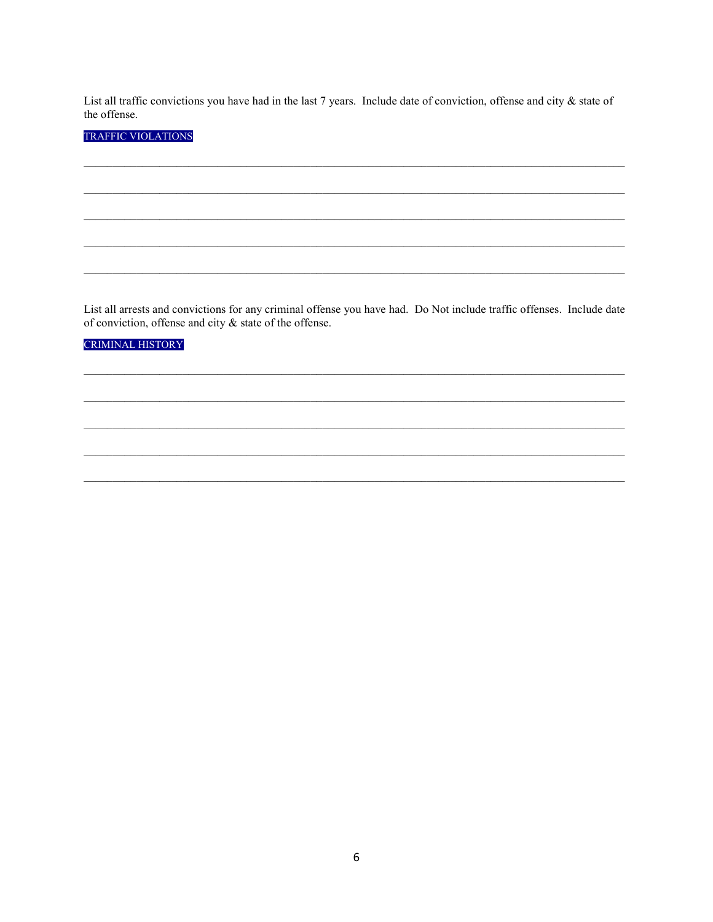List all traffic convictions you have had in the last 7 years. Include date of conviction, offense and city & state of the offense.

# **TRAFFIC VIOLATIONS**

List all arrests and convictions for any criminal offense you have had. Do Not include traffic offenses. Include date of conviction, offense and city  $\&$  state of the offense.

#### CRIMINAL HISTORY